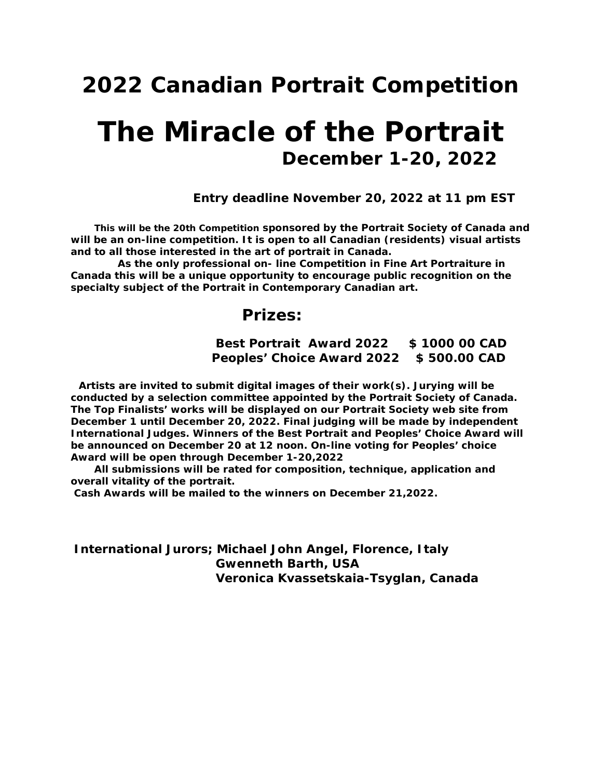### *<sup>2022</sup> Canadian Portrait Competition*

## *The Miracle of the Portrait December 1-20, 2022*

 *Entry deadline November 20, 2022 at 11 pm EST*

 *This will be the 20th Competition sponsored by the Portrait Society of Canada and will be an on-line competition. It is open to all Canadian (residents) visual artists and to all those interested in the art of portrait in Canada.* 

 *As the only professional on- line Competition in Fine Art Portraiture in Canada this will be a unique opportunity to encourage public recognition on the specialty subject of the Portrait in Contemporary Canadian art.*

## *Prizes:*

 *Best Portrait Award 2022 \$ 1000 00 CAD Peoples' Choice Award 2022 \$ 500.00 CAD*

 *Artists are invited to submit digital images of their work(s). Jurying will be conducted by a selection committee appointed by the Portrait Society of Canada. The Top Finalists' works will be displayed on our Portrait Society web site from December 1 until December 20, 2022. Final judging will be made by independent International Judges. Winners of the Best Portrait and Peoples' Choice Award will be announced on December 20 at 12 noon. On-line voting for Peoples' choice Award will be open through December 1-20,2022*

 *All submissions will be rated for composition, technique, application and overall vitality of the portrait.*

*Cash Awards will be mailed to the winners on December 21,2022.*

*International Jurors; Michael John Angel, Florence, Italy Gwenneth Barth, USA Veronica Kvassetskaia-Tsyglan, Canada*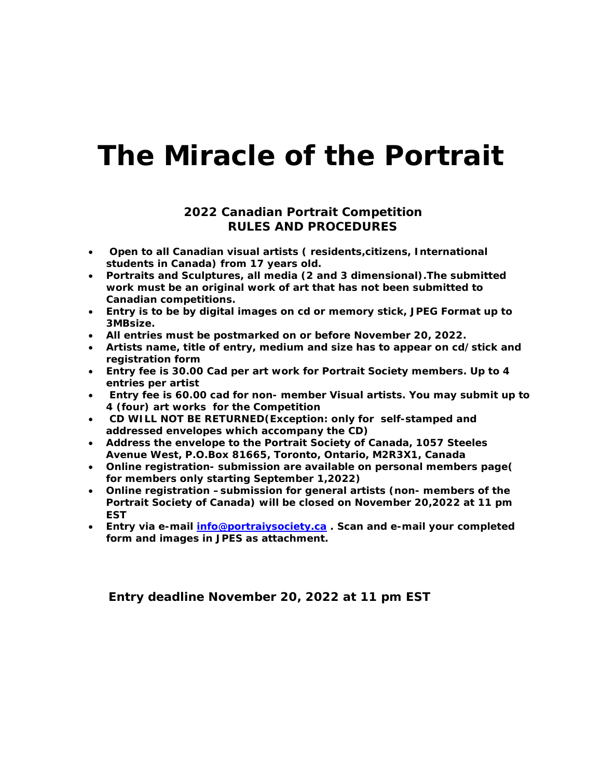## *The Miracle of the Portrait*

#### *2022 Canadian Portrait Competition RULES AND PROCEDURES*

- *Open to all Canadian visual artists ( residents,citizens, International students in Canada) from 17 years old.*
- *Portraits and Sculptures, all media (2 and 3 dimensional).The submitted work must be an original work of art that has not been submitted to Canadian competitions.*
- *Entry is to be by digital images on cd or memory stick, JPEG Format up to 3MBsize.*
- *All entries must be postmarked on or before November 20, 2022.*
- *Artists name, title of entry, medium and size has to appear on cd/stick and registration form*
- *Entry fee is 30.00 Cad per art work for Portrait Society members. Up to 4 entries per artist*
- *Entry fee is 60.00 cad for non- member Visual artists. You may submit up to 4 (four) art works for the Competition*
- *CD WILL NOT BE RETURNED(Exception: only for self-stamped and addressed envelopes which accompany the CD)*
- *Address the envelope to the Portrait Society of Canada, 1057 Steeles Avenue West, P.O.Box 81665, Toronto, Ontario, M2R3X1, Canada*
- *Online registration- submission are available on personal members page( for members only starting September 1,2022)*
- *Online registration –submission for general artists (non- members of the Portrait Society of Canada) will be closed on November 20,2022 at 11 pm EST*
- *Entry via e-mail [info@portraiysociety.ca](mailto:info@portraiysociety.ca) . Scan and e-mail your completed form and images in JPES as attachment.*

 *Entry deadline November 20, 2022 at 11 pm EST*